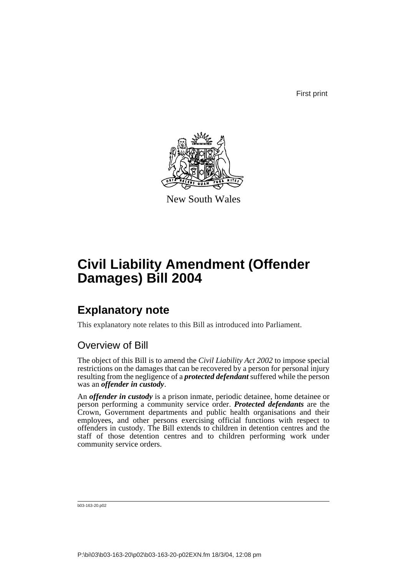First print



New South Wales

# **Civil Liability Amendment (Offender Damages) Bill 2004**

# **Explanatory note**

This explanatory note relates to this Bill as introduced into Parliament.

### Overview of Bill

The object of this Bill is to amend the *Civil Liability Act 2002* to impose special restrictions on the damages that can be recovered by a person for personal injury resulting from the negligence of a *protected defendant* suffered while the person was an *offender in custody*.

An *offender in custody* is a prison inmate, periodic detainee, home detainee or person performing a community service order. *Protected defendants* are the Crown, Government departments and public health organisations and their employees, and other persons exercising official functions with respect to offenders in custody. The Bill extends to children in detention centres and the staff of those detention centres and to children performing work under community service orders.

```
b03-163-20.p02
```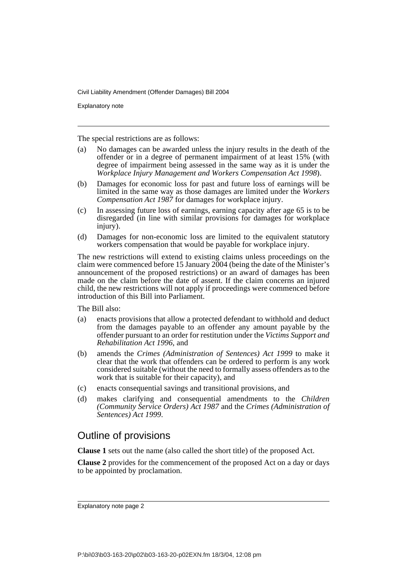Explanatory note

The special restrictions are as follows:

- (a) No damages can be awarded unless the injury results in the death of the offender or in a degree of permanent impairment of at least 15% (with degree of impairment being assessed in the same way as it is under the *Workplace Injury Management and Workers Compensation Act 1998*).
- (b) Damages for economic loss for past and future loss of earnings will be limited in the same way as those damages are limited under the *Workers Compensation Act 1987* for damages for workplace injury.
- (c) In assessing future loss of earnings, earning capacity after age 65 is to be disregarded (in line with similar provisions for damages for workplace injury).
- (d) Damages for non-economic loss are limited to the equivalent statutory workers compensation that would be payable for workplace injury.

The new restrictions will extend to existing claims unless proceedings on the claim were commenced before 15 January 2004 (being the date of the Minister's announcement of the proposed restrictions) or an award of damages has been made on the claim before the date of assent. If the claim concerns an injured child, the new restrictions will not apply if proceedings were commenced before introduction of this Bill into Parliament.

The Bill also:

- (a) enacts provisions that allow a protected defendant to withhold and deduct from the damages payable to an offender any amount payable by the offender pursuant to an order for restitution under the *Victims Support and Rehabilitation Act 1996*, and
- (b) amends the *Crimes (Administration of Sentences) Act 1999* to make it clear that the work that offenders can be ordered to perform is any work considered suitable (without the need to formally assess offenders as to the work that is suitable for their capacity), and
- (c) enacts consequential savings and transitional provisions, and
- (d) makes clarifying and consequential amendments to the *Children (Community Service Orders) Act 1987* and the *Crimes (Administration of Sentences) Act 1999*.

### Outline of provisions

**Clause 1** sets out the name (also called the short title) of the proposed Act.

**Clause 2** provides for the commencement of the proposed Act on a day or days to be appointed by proclamation.

Explanatory note page 2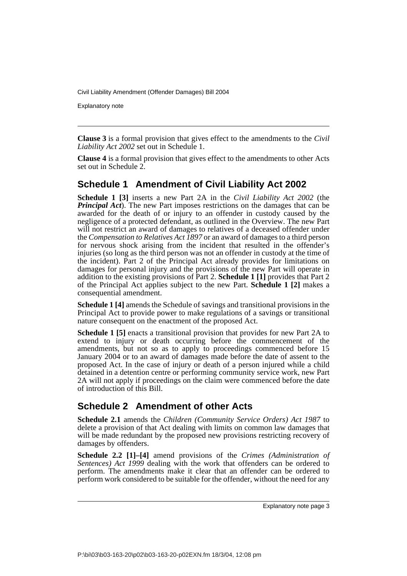Explanatory note

**Clause 3** is a formal provision that gives effect to the amendments to the *Civil Liability Act 2002* set out in Schedule 1.

**Clause 4** is a formal provision that gives effect to the amendments to other Acts set out in Schedule 2.

### **Schedule 1 Amendment of Civil Liability Act 2002**

**Schedule 1 [3]** inserts a new Part 2A in the *Civil Liability Act 2002* (the *Principal Act*). The new Part imposes restrictions on the damages that can be awarded for the death of or injury to an offender in custody caused by the negligence of a protected defendant, as outlined in the Overview. The new Part will not restrict an award of damages to relatives of a deceased offender under the *Compensation to Relatives Act 1897* or an award of damages to a third person for nervous shock arising from the incident that resulted in the offender's injuries (so long as the third person was not an offender in custody at the time of the incident). Part 2 of the Principal Act already provides for limitations on damages for personal injury and the provisions of the new Part will operate in addition to the existing provisions of Part 2. **Schedule 1 [1]** provides that Part 2 of the Principal Act applies subject to the new Part. **Schedule 1 [2]** makes a consequential amendment.

**Schedule 1 [4]** amends the Schedule of savings and transitional provisions in the Principal Act to provide power to make regulations of a savings or transitional nature consequent on the enactment of the proposed Act.

**Schedule 1 [5]** enacts a transitional provision that provides for new Part 2A to extend to injury or death occurring before the commencement of the amendments, but not so as to apply to proceedings commenced before 15 January 2004 or to an award of damages made before the date of assent to the proposed Act. In the case of injury or death of a person injured while a child detained in a detention centre or performing community service work, new Part 2A will not apply if proceedings on the claim were commenced before the date of introduction of this Bill.

### **Schedule 2 Amendment of other Acts**

**Schedule 2.1** amends the *Children (Community Service Orders) Act 1987* to delete a provision of that Act dealing with limits on common law damages that will be made redundant by the proposed new provisions restricting recovery of damages by offenders.

**Schedule 2.2 [1]–[4]** amend provisions of the *Crimes (Administration of Sentences) Act 1999* dealing with the work that offenders can be ordered to perform. The amendments make it clear that an offender can be ordered to perform work considered to be suitable for the offender, without the need for any

Explanatory note page 3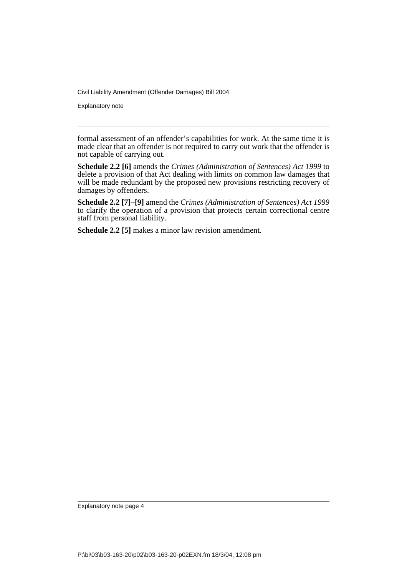Explanatory note

formal assessment of an offender's capabilities for work. At the same time it is made clear that an offender is not required to carry out work that the offender is not capable of carrying out.

**Schedule 2.2 [6]** amends the *Crimes (Administration of Sentences) Act 1999* to delete a provision of that Act dealing with limits on common law damages that will be made redundant by the proposed new provisions restricting recovery of damages by offenders.

**Schedule 2.2 [7]–[9]** amend the *Crimes (Administration of Sentences) Act 1999* to clarify the operation of a provision that protects certain correctional centre staff from personal liability.

**Schedule 2.2 [5]** makes a minor law revision amendment.

Explanatory note page 4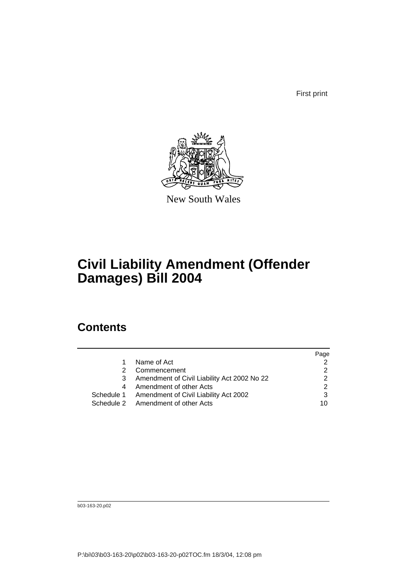First print



New South Wales

# **Civil Liability Amendment (Offender Damages) Bill 2004**

## **Contents**

|   |                                                  | Page |
|---|--------------------------------------------------|------|
| 1 | Name of Act                                      |      |
| 2 | Commencement                                     |      |
| 3 | Amendment of Civil Liability Act 2002 No 22      |      |
| 4 | Amendment of other Acts                          |      |
|   | Schedule 1 Amendment of Civil Liability Act 2002 |      |
|   | Schedule 2 Amendment of other Acts               | 10   |

b03-163-20.p02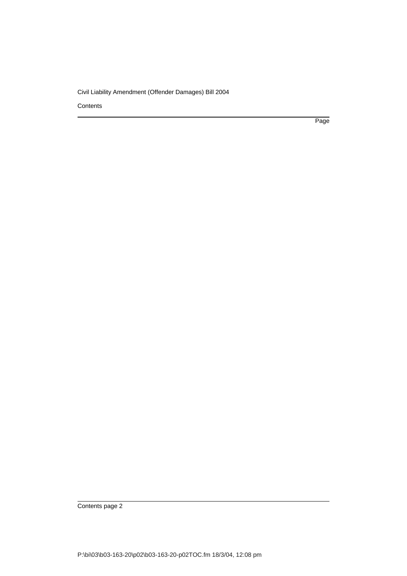**Contents** 

Page

Contents page 2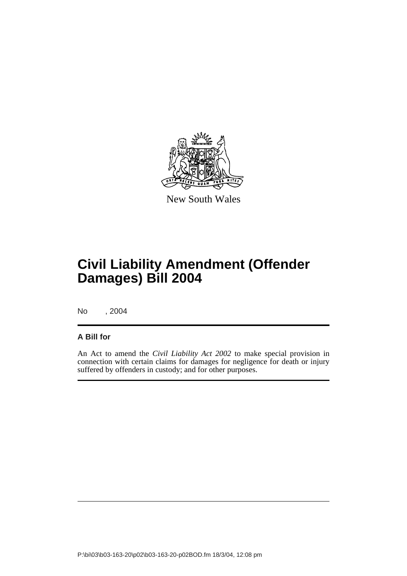

New South Wales

# **Civil Liability Amendment (Offender Damages) Bill 2004**

No , 2004

### **A Bill for**

An Act to amend the *Civil Liability Act 2002* to make special provision in connection with certain claims for damages for negligence for death or injury suffered by offenders in custody; and for other purposes.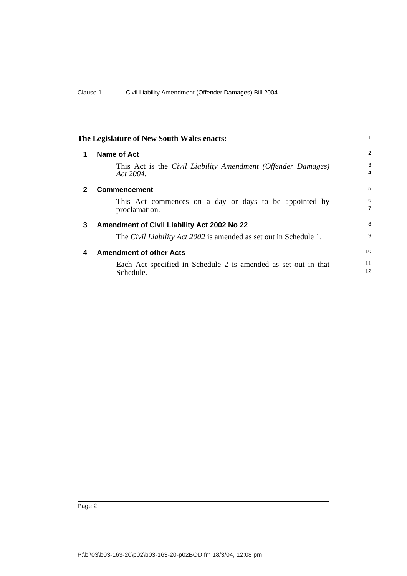| The Legislature of New South Wales enacts: |                                                                              |                     |
|--------------------------------------------|------------------------------------------------------------------------------|---------------------|
| 1                                          | Name of Act                                                                  | 2                   |
|                                            | This Act is the Civil Liability Amendment (Offender Damages)<br>Act $2004$ . | 3<br>4              |
|                                            | <b>Commencement</b>                                                          | 5                   |
|                                            | This Act commences on a day or days to be appointed by<br>proclamation.      | 6<br>$\overline{7}$ |
| 3                                          | Amendment of Civil Liability Act 2002 No 22                                  | 8                   |
|                                            | The <i>Civil Liability Act 2002</i> is amended as set out in Schedule 1.     | 9                   |
| 4                                          | <b>Amendment of other Acts</b>                                               | 10                  |
|                                            | Each Act specified in Schedule 2 is amended as set out in that<br>Schedule.  | 11<br>12            |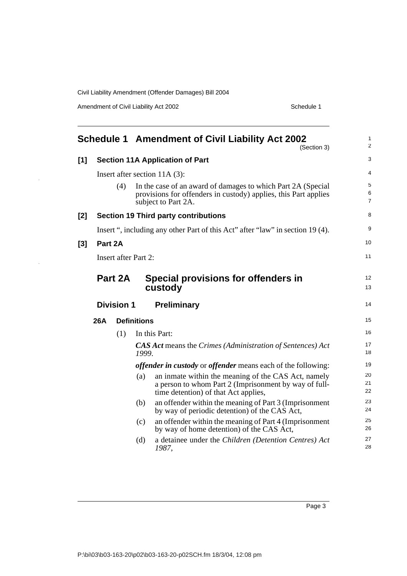Amendment of Civil Liability Act 2002 Schedule 1

|       |                                                                                |                                 |       | <b>Schedule 1 Amendment of Civil Liability Act 2002</b><br>(Section 3)                                                                                 | 1<br>$\overline{c}$      |
|-------|--------------------------------------------------------------------------------|---------------------------------|-------|--------------------------------------------------------------------------------------------------------------------------------------------------------|--------------------------|
| $[1]$ | <b>Section 11A Application of Part</b>                                         |                                 |       |                                                                                                                                                        |                          |
|       |                                                                                | Insert after section $11A(3)$ : |       |                                                                                                                                                        |                          |
|       |                                                                                | (4)                             |       | In the case of an award of damages to which Part 2A (Special<br>provisions for offenders in custody) applies, this Part applies<br>subject to Part 2A. | 5<br>6<br>$\overline{7}$ |
| [2]   | <b>Section 19 Third party contributions</b>                                    |                                 |       | 8                                                                                                                                                      |                          |
|       | Insert ", including any other Part of this Act" after "law" in section 19 (4). |                                 |       |                                                                                                                                                        | 9                        |
| [3]   | Part 2A                                                                        |                                 |       |                                                                                                                                                        | 10                       |
|       |                                                                                | Insert after Part 2:            |       |                                                                                                                                                        | 11                       |
|       |                                                                                | Part 2A                         |       | Special provisions for offenders in<br>custody                                                                                                         | 12<br>13                 |
|       |                                                                                | <b>Division 1</b>               |       | <b>Preliminary</b>                                                                                                                                     | 14                       |
|       | <b>Definitions</b><br><b>26A</b>                                               |                                 |       |                                                                                                                                                        | 15                       |
|       |                                                                                | (1)                             |       | In this Part:                                                                                                                                          | 16                       |
|       |                                                                                |                                 | 1999. | <b>CAS Act means the Crimes (Administration of Sentences) Act</b>                                                                                      | 17<br>18                 |
|       |                                                                                |                                 |       | <i>offender in custody</i> or <i>offender</i> means each of the following:                                                                             | 19                       |
|       |                                                                                |                                 | (a)   | an inmate within the meaning of the CAS Act, namely<br>a person to whom Part 2 (Imprisonment by way of full-<br>time detention) of that Act applies,   | 20<br>21<br>22           |
|       |                                                                                |                                 | (b)   | an offender within the meaning of Part 3 (Imprisonment<br>by way of periodic detention) of the CAS Act,                                                | 23<br>24                 |
|       |                                                                                |                                 | (c)   | an offender within the meaning of Part 4 (Imprisonment<br>by way of home detention) of the CAS Act,                                                    | 25<br>26                 |
|       |                                                                                |                                 | (d)   | a detainee under the Children (Detention Centres) Act<br>1987,                                                                                         | 27<br>28                 |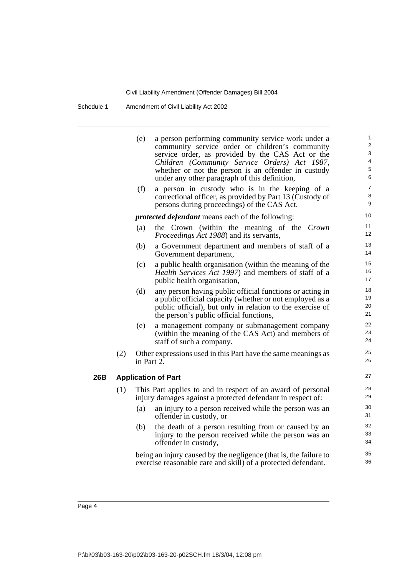Schedule 1 Amendment of Civil Liability Act 2002

|     |                                                                                    | (e)                                                                                                                        | a person performing community service work under a<br>community service order or children's community<br>service order, as provided by the CAS Act or the<br>Children (Community Service Orders) Act 1987,<br>whether or not the person is an offender in custody<br>under any other paragraph of this definition, | 1<br>$\overline{2}$<br>3<br>4<br>5<br>6 |  |
|-----|------------------------------------------------------------------------------------|----------------------------------------------------------------------------------------------------------------------------|--------------------------------------------------------------------------------------------------------------------------------------------------------------------------------------------------------------------------------------------------------------------------------------------------------------------|-----------------------------------------|--|
|     |                                                                                    | (f)                                                                                                                        | a person in custody who is in the keeping of a<br>correctional officer, as provided by Part 13 (Custody of<br>persons during proceedings) of the CAS Act.                                                                                                                                                          | $\overline{7}$<br>8<br>9                |  |
|     |                                                                                    |                                                                                                                            | <i>protected defendant</i> means each of the following:                                                                                                                                                                                                                                                            | 10                                      |  |
|     |                                                                                    | (a)                                                                                                                        | the Crown (within the meaning of the Crown<br><i>Proceedings Act 1988</i> ) and its servants,                                                                                                                                                                                                                      | 11<br>12                                |  |
|     |                                                                                    | (b)                                                                                                                        | a Government department and members of staff of a<br>Government department,                                                                                                                                                                                                                                        | 13<br>14                                |  |
|     |                                                                                    | (c)                                                                                                                        | a public health organisation (within the meaning of the<br>Health Services Act 1997) and members of staff of a<br>public health organisation,                                                                                                                                                                      | 15<br>16<br>17                          |  |
|     |                                                                                    | (d)                                                                                                                        | any person having public official functions or acting in<br>a public official capacity (whether or not employed as a<br>public official), but only in relation to the exercise of<br>the person's public official functions,                                                                                       | 18<br>19<br>20<br>21                    |  |
|     |                                                                                    | (e)                                                                                                                        | a management company or submanagement company<br>(within the meaning of the CAS Act) and members of<br>staff of such a company.                                                                                                                                                                                    | 22<br>23<br>24                          |  |
|     | (2)<br>Other expressions used in this Part have the same meanings as<br>in Part 2. |                                                                                                                            | 25<br>26                                                                                                                                                                                                                                                                                                           |                                         |  |
| 26B | <b>Application of Part</b>                                                         |                                                                                                                            |                                                                                                                                                                                                                                                                                                                    |                                         |  |
|     | (1)                                                                                | This Part applies to and in respect of an award of personal<br>injury damages against a protected defendant in respect of: |                                                                                                                                                                                                                                                                                                                    |                                         |  |
|     |                                                                                    | (a)                                                                                                                        | an injury to a person received while the person was an<br>offender in custody, or                                                                                                                                                                                                                                  | 30<br>31                                |  |
|     |                                                                                    | (b)                                                                                                                        | the death of a person resulting from or caused by an<br>injury to the person received while the person was an<br>offender in custody,                                                                                                                                                                              | 32<br>33<br>34                          |  |
|     |                                                                                    |                                                                                                                            | being an injury caused by the negligence (that is, the failure to<br>exercise reasonable care and skill) of a protected defendant.                                                                                                                                                                                 | 35<br>36                                |  |
|     |                                                                                    |                                                                                                                            |                                                                                                                                                                                                                                                                                                                    |                                         |  |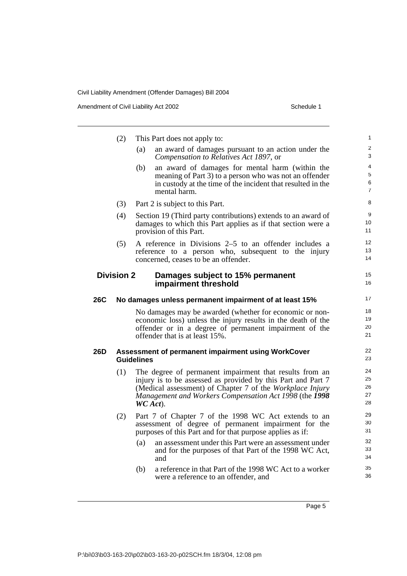Amendment of Civil Liability Act 2002 Schedule 1

(2) This Part does not apply to: (a) an award of damages pursuant to an action under the *Compensation to Relatives Act 1897*, or (b) an award of damages for mental harm (within the meaning of Part 3) to a person who was not an offender in custody at the time of the incident that resulted in the mental harm. (3) Part 2 is subject to this Part. (4) Section 19 (Third party contributions) extends to an award of damages to which this Part applies as if that section were a provision of this Part. (5) A reference in Divisions 2–5 to an offender includes a reference to a person who, subsequent to the injury concerned, ceases to be an offender. **Division 2 Damages subject to 15% permanent impairment threshold 26C No damages unless permanent impairment of at least 15%** No damages may be awarded (whether for economic or noneconomic loss) unless the injury results in the death of the offender or in a degree of permanent impairment of the offender that is at least 15%. **26D Assessment of permanent impairment using WorkCover Guidelines** (1) The degree of permanent impairment that results from an injury is to be assessed as provided by this Part and Part 7 (Medical assessment) of Chapter 7 of the *Workplace Injury Management and Workers Compensation Act 1998* (the *1998 WC Act*). (2) Part 7 of Chapter 7 of the 1998 WC Act extends to an assessment of degree of permanent impairment for the purposes of this Part and for that purpose applies as if: (a) an assessment under this Part were an assessment under and for the purposes of that Part of the 1998 WC Act, and (b) a reference in that Part of the 1998 WC Act to a worker were a reference to an offender, and 1  $\mathfrak{p}$ 3 4 5 6 7 8 9 10 11 12 13 14 15 16 17 18 19 20 21 22 23 24 25 26 27 28 29 30 31 32 33 34 35 36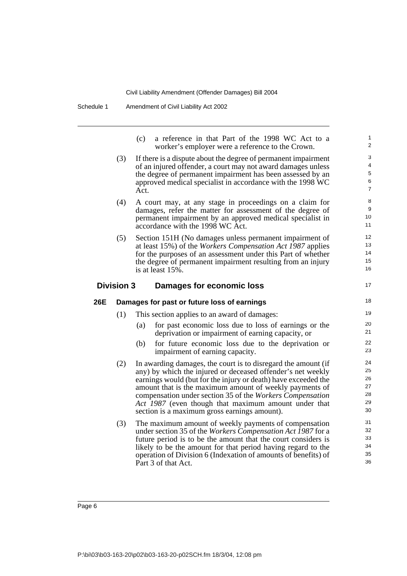(c) a reference in that Part of the 1998 WC Act to a worker's employer were a reference to the Crown. (3) If there is a dispute about the degree of permanent impairment of an injured offender, a court may not award damages unless the degree of permanent impairment has been assessed by an approved medical specialist in accordance with the 1998 WC Act. (4) A court may, at any stage in proceedings on a claim for damages, refer the matter for assessment of the degree of permanent impairment by an approved medical specialist in accordance with the 1998 WC Act. (5) Section 151H (No damages unless permanent impairment of at least 15%) of the *Workers Compensation Act 1987* applies for the purposes of an assessment under this Part of whether the degree of permanent impairment resulting from an injury is at least 15%. **Division 3 Damages for economic loss 26E Damages for past or future loss of earnings** (1) This section applies to an award of damages: (a) for past economic loss due to loss of earnings or the deprivation or impairment of earning capacity, or (b) for future economic loss due to the deprivation or impairment of earning capacity. (2) In awarding damages, the court is to disregard the amount (if any) by which the injured or deceased offender's net weekly earnings would (but for the injury or death) have exceeded the amount that is the maximum amount of weekly payments of compensation under section 35 of the *Workers Compensation Act 1987* (even though that maximum amount under that section is a maximum gross earnings amount). (3) The maximum amount of weekly payments of compensation under section 35 of the *Workers Compensation Act 1987* for a future period is to be the amount that the court considers is likely to be the amount for that period having regard to the operation of Division 6 (Indexation of amounts of benefits) of Part 3 of that Act. 1  $\overline{2}$ 3 4 5 6 7 8 9 10 11 12 13 14 15 16 17 18 19  $20$ 21 22 23 24 25 26 27 28 29 30 31 32 33 34 35 36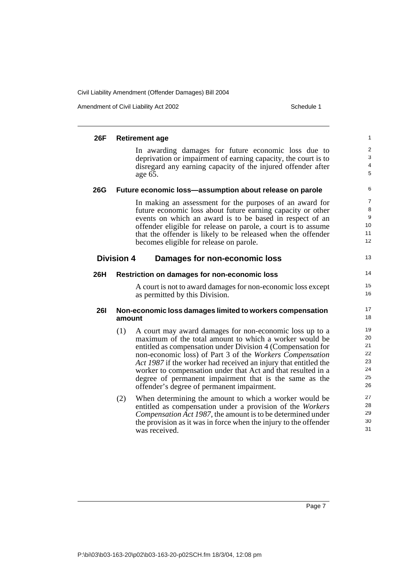Amendment of Civil Liability Act 2002 Schedule 1

| 26F        | <b>Retirement age</b>                                                                                                                                                                                                                                                                                                                                                                                                                                                                          | 1                                            |
|------------|------------------------------------------------------------------------------------------------------------------------------------------------------------------------------------------------------------------------------------------------------------------------------------------------------------------------------------------------------------------------------------------------------------------------------------------------------------------------------------------------|----------------------------------------------|
|            | In awarding damages for future economic loss due to<br>deprivation or impairment of earning capacity, the court is to<br>disregard any earning capacity of the injured offender after<br>age 65.                                                                                                                                                                                                                                                                                               | $\overline{\mathbf{c}}$<br>3<br>4<br>5       |
| <b>26G</b> | Future economic loss-assumption about release on parole                                                                                                                                                                                                                                                                                                                                                                                                                                        | 6                                            |
|            | In making an assessment for the purposes of an award for<br>future economic loss about future earning capacity or other<br>events on which an award is to be based in respect of an<br>offender eligible for release on parole, a court is to assume<br>that the offender is likely to be released when the offender<br>becomes eligible for release on parole.                                                                                                                                | 7<br>8<br>9<br>10<br>11<br>12                |
|            | <b>Division 4</b><br><b>Damages for non-economic loss</b>                                                                                                                                                                                                                                                                                                                                                                                                                                      | 13                                           |
| <b>26H</b> | Restriction on damages for non-economic loss                                                                                                                                                                                                                                                                                                                                                                                                                                                   | 14                                           |
|            | A court is not to award damages for non-economic loss except<br>as permitted by this Division.                                                                                                                                                                                                                                                                                                                                                                                                 | 15<br>16                                     |
| <b>261</b> | Non-economic loss damages limited to workers compensation<br>amount                                                                                                                                                                                                                                                                                                                                                                                                                            | 17<br>18                                     |
|            | (1)<br>A court may award damages for non-economic loss up to a<br>maximum of the total amount to which a worker would be<br>entitled as compensation under Division 4 (Compensation for<br>non-economic loss) of Part 3 of the Workers Compensation<br>Act 1987 if the worker had received an injury that entitled the<br>worker to compensation under that Act and that resulted in a<br>degree of permanent impairment that is the same as the<br>offender's degree of permanent impairment. | 19<br>20<br>21<br>22<br>23<br>24<br>25<br>26 |
|            | (2)<br>When determining the amount to which a worker would be<br>entitled as compensation under a provision of the Workers<br>Compensation Act 1987, the amount is to be determined under<br>the provision as it was in force when the injury to the offender<br>was received.                                                                                                                                                                                                                 | 27<br>28<br>29<br>30<br>31                   |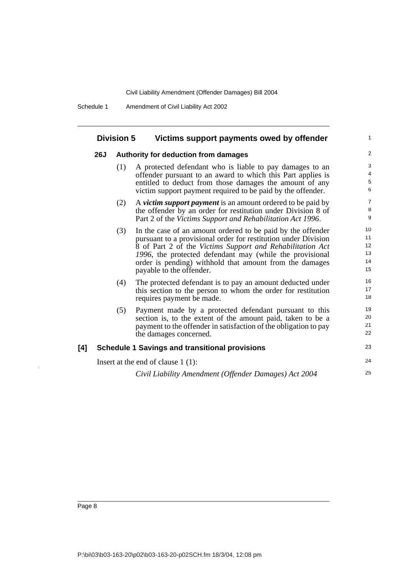Schedule 1 Amendment of Civil Liability Act 2002

#### **Division 5 Victims support payments owed by offender**

#### **26J Authority for deduction from damages**

(1) A protected defendant who is liable to pay damages to an offender pursuant to an award to which this Part applies is entitled to deduct from those damages the amount of any victim support payment required to be paid by the offender.

1

23

24 25

- (2) A *victim support payment* is an amount ordered to be paid by the offender by an order for restitution under Division 8 of Part 2 of the *Victims Support and Rehabilitation Act 1996*.
- (3) In the case of an amount ordered to be paid by the offender pursuant to a provisional order for restitution under Division 8 of Part 2 of the *Victims Support and Rehabilitation Act 1996*, the protected defendant may (while the provisional order is pending) withhold that amount from the damages payable to the offender.
- (4) The protected defendant is to pay an amount deducted under this section to the person to whom the order for restitution requires payment be made.
- (5) Payment made by a protected defendant pursuant to this section is, to the extent of the amount paid, taken to be a payment to the offender in satisfaction of the obligation to pay the damages concerned.

#### **[4] Schedule 1 Savings and transitional provisions**

Insert at the end of clause 1 (1):

*Civil Liability Amendment (Offender Damages) Act 2004*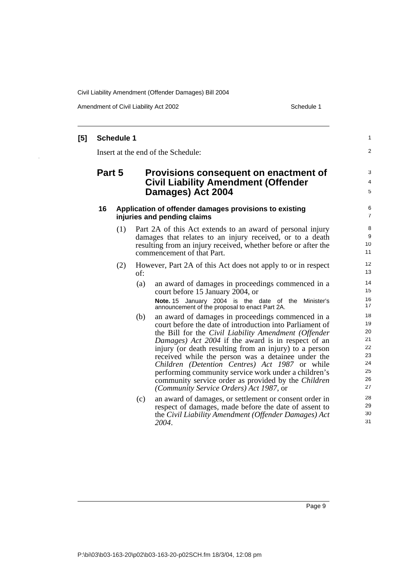Amendment of Civil Liability Act 2002 Schedule 1

#### **[5] Schedule 1** Insert at the end of the Schedule: **Part 5 Provisions consequent on enactment of Civil Liability Amendment (Offender Damages) Act 2004 16 Application of offender damages provisions to existing injuries and pending claims** (1) Part 2A of this Act extends to an award of personal injury damages that relates to an injury received, or to a death resulting from an injury received, whether before or after the commencement of that Part. (2) However, Part 2A of this Act does not apply to or in respect of: (a) an award of damages in proceedings commenced in a court before 15 January 2004, or **Note.** 15 January 2004 is the date of the Minister's announcement of the proposal to enact Part 2A. (b) an award of damages in proceedings commenced in a court before the date of introduction into Parliament of the Bill for the *Civil Liability Amendment (Offender Damages) Act 2004* if the award is in respect of an injury (or death resulting from an injury) to a person received while the person was a detainee under the *Children (Detention Centres) Act 1987* or while performing community service work under a children's community service order as provided by the *Children (Community Service Orders) Act 1987*, or (c) an award of damages, or settlement or consent order in respect of damages, made before the date of assent to the *Civil Liability Amendment (Offender Damages) Act 2004*. 1  $\overline{2}$ 3 4 5 6 7  $\Omega$ 9 10 11 12 13 14 15 16 17 18 19 20 21 22 23 24 25 26 27 28 29 30 31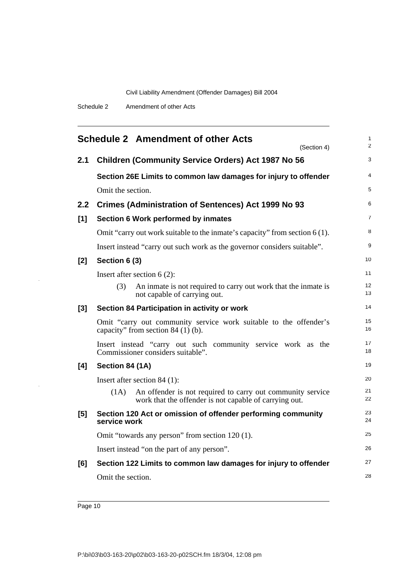|       | <b>Schedule 2 Amendment of other Acts</b>                                                                                    | 1<br>2   |
|-------|------------------------------------------------------------------------------------------------------------------------------|----------|
| 2.1   | (Section 4)<br><b>Children (Community Service Orders) Act 1987 No 56</b>                                                     | 3        |
|       | Section 26E Limits to common law damages for injury to offender                                                              | 4        |
|       | Omit the section.                                                                                                            | 5        |
| 2.2   | <b>Crimes (Administration of Sentences) Act 1999 No 93</b>                                                                   | 6        |
| [1]   | Section 6 Work performed by inmates                                                                                          | 7        |
|       | Omit "carry out work suitable to the inmate's capacity" from section $6(1)$ .                                                | 8        |
|       | Insert instead "carry out such work as the governor considers suitable".                                                     | 9        |
| [2]   | Section 6 (3)                                                                                                                | 10       |
|       | Insert after section $6(2)$ :                                                                                                | 11       |
|       | (3)<br>An inmate is not required to carry out work that the inmate is<br>not capable of carrying out.                        | 12<br>13 |
| $[3]$ | Section 84 Participation in activity or work                                                                                 | 14       |
|       | Omit "carry out community service work suitable to the offender's<br>capacity" from section $84(1)$ (b).                     | 15<br>16 |
|       | Insert instead "carry out such community service work as the<br>Commissioner considers suitable".                            | 17<br>18 |
| [4]   | Section 84 (1A)                                                                                                              | 19       |
|       | Insert after section $84$ (1):                                                                                               | 20       |
|       | An offender is not required to carry out community service<br>(1A)<br>work that the offender is not capable of carrying out. | 21<br>22 |
| [5]   | Section 120 Act or omission of offender performing community<br>service work                                                 | 23<br>24 |
|       | Omit "towards any person" from section 120 (1).                                                                              | 25       |
|       | Insert instead "on the part of any person".                                                                                  | 26       |
| [6]   | Section 122 Limits to common law damages for injury to offender                                                              | 27       |
|       | Omit the section.                                                                                                            | 28       |
|       |                                                                                                                              |          |